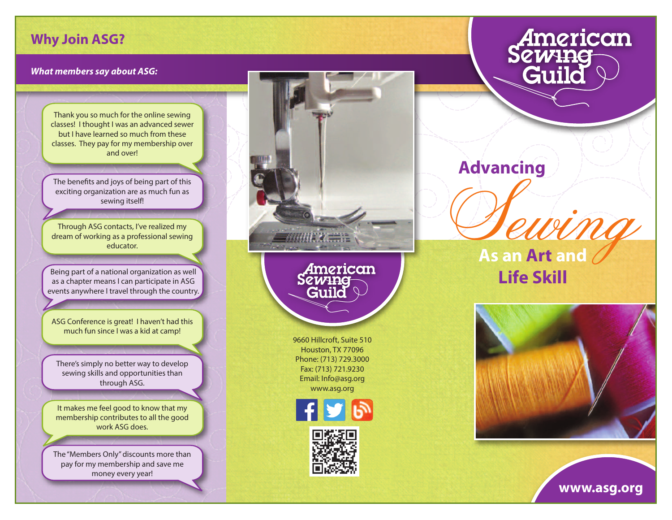## **Why Join ASG?**

## **What members say about ASG:**

Thank you so much for the online sewing classes! I thought I was an advanced sewer but I have learned so much from these classes. They pay for my membership over and over!

The benefits and joys of being part of this exciting organization are as much fun as sewing itself!

Through ASG contacts, I've realized my dream of working as a professional sewing educator.

Being part of a national organization as well as a chapter means I can participate in ASG events anywhere I travel through the country.

ASG Conference is great! I haven't had this much fun since I was a kid at camp!

There's simply no better way to develop sewing skills and opportunities than through ASG.

It makes me feel good to know that my membership contributes to all the good work ASG does.

The "Members Only" discounts more than pay for my membership and save me money every year!



## American<br>Sew<del>ing</del><br>Guild

**Advancing** 

Sewing **As an Art and Life Skill**



**www.asg.org**